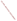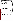| UNITED STATES ENVIRONMENTAL PROTECTION AGENCY<br>UNITED S.<br>Office of Research and Development<br>Washington, D.C. 20460<br>ETV<br><sup>I</sup> PROT<br>ENVIRONMENTAL TECHNOLOGY VERIFICATION PROGRAM<br><b>VERIFICATION STATEMENT</b> |                                                                                            |  |
|------------------------------------------------------------------------------------------------------------------------------------------------------------------------------------------------------------------------------------------|--------------------------------------------------------------------------------------------|--|
| <b>TECHNOLOGY TYPE:</b>                                                                                                                                                                                                                  | <b>SOIL SAMPLER</b>                                                                        |  |
| <b>APPLICATION:</b>                                                                                                                                                                                                                      | SUBSURFACE SOIL SAMPLING                                                                   |  |
|                                                                                                                                                                                                                                          | TECHNOLOGY NAME: JMC ENVIRONMENTALIST'S SUBSOIL PROBE                                      |  |
| COMPANY:<br><b>ADDRESS:</b>                                                                                                                                                                                                              | <b>CLEMENTS ASSOCIATES, INC.</b><br><b>1992 HUNTER AVENUE</b><br><b>NEWTON, IOWA 50208</b> |  |
| PHONE:                                                                                                                                                                                                                                   | $(515)$ 792-8285                                                                           |  |

## ETV PROGRAM DESCRIPTION

The U.S. Environmental Protection Agency (EPA) created the Environmental Technology Verification (ETV) Program to facilitate the deployment of innovative technologies through performance verification and information dissemination. The goal of the ETV Program is to further environmental protection by substantially accelerating the acceptance and use of improved and cost-effective technologies. The ETV Program is intended to assist and inform those involved in the design, distribution, permitting, and purchase of environmental technologies. This document summarizes results of a demonstration of the Clements Associates, Inc. JMC Environmentalist's Subsoil Probe (ESP).

## PROGRAM OPERATION

Under the ETV Program and with the full participation of the technology developer, the EPA evaluates the performance of innovative technologies by developing demonstration plans, conducting field tests, collecting and analyzing demonstration data, and preparing reports. The technologies are evaluated under rigorous quality assurance (QA) protocols to ensure that data of known and adequate quality are generated and that the demonstration results are defensible. The EPA's National Exposure Research Laboratory, which demonstrates field characterization and monitoring technologies, selected Tetra Tech EM Inc. as the verification organization to assist in field testing various soil and soil gas sampling technologies. This demonstration was conducted under the EPA's Superfund Innovative Technology Evaluation Program.

#### DEMONSTRATION DESCRIPTION

In May and June 1997, the EPA conducted a field test of the ESP along with three other soil and two soil gas sampling technologies. This verification statement focuses on the ESP; similar statements have been prepared for each of the other technologies. The performance of the ESP was compared to a reference subsurface soil sampling method (hollow-stem auger drilling and split-spoon sampling) in terms of the following parameters: (1) sample recovery, (2) volatile organic compound (VOC) concentrations in recovered samples, (3) sample integrity, (4) reliability and throughput, and (5) cost. Data quality indicators for precision, accuracy, representativeness, completeness, and comparability were also assessed against project-specific QA objectives to ensure the usefulness of the data.

The ESP was demonstrated at two sites: the Small Business Administration (SBA) site in Albert City, Iowa, and the Chemical Sales Company (CSC) site in Denver, Colorado. These sites were chosen because of the wide range of VOC concentrations detected at the sites and because each has a distinct soil type. The VOCs detected at the sites include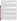cis-1,2-dichloroethene (cis-1,2-DCE); 1,1,1-trichloroethane (1,1,1-TCA); trichloroethene (TCE); and tetrachloroethene (PCE). The SBA site is composed primarily of clay soil, and the CSC site is composed primarily of medium- to fine-grained sandy soil. A complete description of the demonstration, including a data summary and discussion of results, is available in the report titled *Environmental Technology Verification Report: Soil Sampler, Clements Associates, Inc., JMC Environmentalist's Subsoil Probe,* EPA/600/R-98/091.

## **TECHNOLOGY DESCRIPTION**

The ESP sampler is designed to collect subsurface soil samples and may be advanced by using manual or powered percussive techniques. The ESP can collect continuous or discrete samples. The ESP consists of a sampling tube, a body that guides the sampler as it is driven, and a foot-pedal-operated jack that retrieves the sampler. The sampler is a 36-inch long, solid barrel, open tube with an outside diameter of 1.125 inches. The sample tube is fitted with an inner sample liner and one of three interchangeable tips: a solid drive point, a standard cutting tip, or a wet cutting tip. The sampler is constructed of heat-treated 4130 alloy steel with nickel plating; the cutting tips and drive point are stainless steel. Liners facilitate retrieval of the sample and may be used for storage when applicable. The liner used for the demonstration was a 36-inch long by 0.90-inch inside diameter, thin-walled clear plastic tube that fits inside the sampler. It is capable of recovering a sample 36 inches long in the form of a soil core. Stainless steel liners are also available to meet the sample collection requirements and data quality objectives of a specific project.

# **VERIFICATION OF PERFORMANCE**

The demonstration data indicate the following performance characteristics for the ESP:

**Sample Recovery**: For the purposes of this demonstration, sample recovery was defined as the ratio of the length of recovered sample to the length of sampler advancement. Sample recoveries from 28 samples collected at the SBA site ranged from 42 to 100 percent, with an average sample recovery of 96 percent. Sample recoveries from 42 samples collected at the CSC site ranged from 72 to 100 percent, with an average sample recovery of 95 percent. Using the reference method, sample recoveries from 42 samples collected at the SBA site ranged from 40 to 100 percent, with an average recovery of 88 percent. Sample recoveries from the 41 samples collected at the CSC site ranged from 53 to 100 percent, with an average recovery of 87 percent. A comparison of recovery data from the ESP sampler and the reference sampler indicates that the ESP achieved higher sample recoveries in both the clay soil at the SBA site and in the sandy soil at the CSC site relative to the sample recoveries achieved by the reference sampling method.

*Volatile Organic Compound Concentrations*: Soil samples collected using the ESP and the reference sampling method at five sampling depths in eight grids (four at the SBA site and four at the CSC site) were analyzed for VOCs. For 16 of the 18 ESP and reference sampling method pairs (seven at the SBA site and 11 at the CSC site), a statistical analysis using the Mann-Whitney test indicated no significant statistical difference at the 95 percent level between VOC concentrations in samples collected with the ESP and those collected with the reference sampling method. A statistically significant difference was identified for one sample pair collected at the SBA site and one sample pair at the CSC site. Analysis of the CSC site data, using the sign test, indicated no statistical difference between the data obtained by the ESP and the reference sampling method. However, at the SBA site, the sign test indicated that the data obtained by the ESP are statistically significantly different than the data obtained by the reference sampling method, suggesting that the reference method tends to yield higher concentrations in sampling fine-grained soils than does the ESP.

**Sample Integrity**: Seven integrity samples were collected with each sampling method at the SBA site, and five integrity samples were collected with each sampling method at the CSC site to determine if potting soil in a lined sampler became contaminated after it was advanced through a zone of high VOC concentrations. For the ESP, VOCs were detected in two of the 12 integrity samples: both at the SBA site. One of the integrity samples collected at the SBA site contained cis-1,2-DCE at 5,700 micrograms per kilogram (Fg/kg), TCE at 4,070 Fg/kg, and PCE at 212 Fg/kg; the other sample contained cis-1,2-DCE at 114 Fg/kg and TCE at 3.17 Fg/kg. These results indicate that the integrity of a lined chamber of the ESP may not be preserved when the sampler is advanced through highly contaminated soils. Results of sample integrity tests for the reference sampling method indicated no contamination in the potting soil after it was advanced through a zone of high VOC concentrations. Because potting soil has an